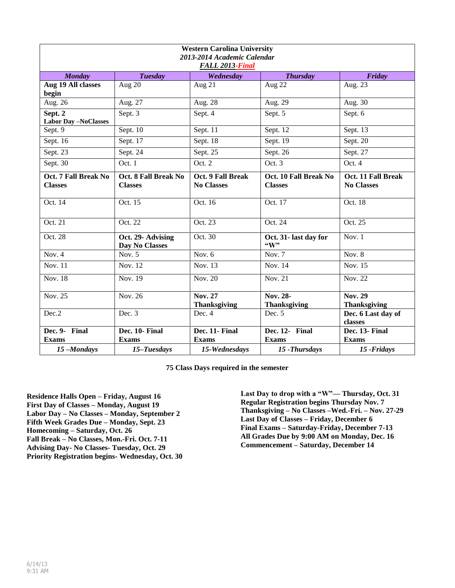| <b>Western Carolina University</b><br>2013-2014 Academic Calendar<br>FALL 2013-Final |                                        |                                        |                                         |                                         |
|--------------------------------------------------------------------------------------|----------------------------------------|----------------------------------------|-----------------------------------------|-----------------------------------------|
| <b>Monday</b>                                                                        | <b>Tuesday</b>                         | Wednesday                              | <b>Thursday</b>                         | Friday                                  |
| Aug 19 All classes<br>begin                                                          | Aug 20                                 | Aug $21$                               | Aug 22                                  | Aug. 23                                 |
| Aug. 26                                                                              | Aug. 27                                | Aug. 28                                | Aug. 29                                 | Aug. 30                                 |
| Sept. 2<br><b>Labor Day -NoClasses</b>                                               | Sept. 3                                | Sept. 4                                | Sept. 5                                 | Sept. 6                                 |
| Sept. 9                                                                              | Sept. $10$                             | Sept. 11                               | Sept. $12$                              | Sept. 13                                |
| Sept. 16                                                                             | Sept. 17                               | Sept. 18                               | Sept. 19                                | Sept. 20                                |
| Sept. 23                                                                             | Sept. 24                               | Sept. 25                               | Sept. 26                                | Sept. 27                                |
| Sept. 30                                                                             | Oct. 1                                 | Oct. 2                                 | Oct. 3                                  | Oct. 4                                  |
| Oct. 7 Fall Break No<br><b>Classes</b>                                               | Oct. 8 Fall Break No<br><b>Classes</b> | Oct. 9 Fall Break<br><b>No Classes</b> | Oct. 10 Fall Break No<br><b>Classes</b> | Oct. 11 Fall Break<br><b>No Classes</b> |
| Oct. 14                                                                              | Oct. 15                                | Oct. 16                                | Oct. 17                                 | Oct. 18                                 |
| Oct. 21                                                                              | Oct. 22                                | Oct. 23                                | Oct. 24                                 | Oct. 25                                 |
| Oct. 28                                                                              | Oct. 29- Advising<br>Day No Classes    | Oct. 30                                | Oct. 31- last day for<br>$\lq\lq W$ "   | Nov. $1$                                |
| Nov. $4$                                                                             | Nov. $5$                               | Nov. $6$                               | Nov. $7$                                | Nov. $8$                                |
| <b>Nov. 11</b>                                                                       | Nov. $12$                              | Nov. 13                                | Nov. 14                                 | Nov. 15                                 |
| <b>Nov. 18</b>                                                                       | Nov. 19                                | Nov. 20                                | Nov. 21                                 | Nov. 22                                 |
| <b>Nov. 25</b>                                                                       | <b>Nov. 26</b>                         | <b>Nov. 27</b><br><b>Thanksgiving</b>  | Nov. 28-<br><b>Thanksgiving</b>         | <b>Nov. 29</b><br><b>Thanksgiving</b>   |
| Dec.2                                                                                | Dec. 3                                 | Dec. 4                                 | Dec. 5                                  | Dec. 6 Last day of<br>classes           |
| Dec. 9- Final<br><b>Exams</b>                                                        | Dec. 10- Final<br><b>Exams</b>         | Dec. 11- Final<br><b>Exams</b>         | Dec. 12- Final<br><b>Exams</b>          | Dec. 13- Final<br><b>Exams</b>          |
| 15-Mondays                                                                           | 15-Tuesdays                            | 15-Wednesdays                          | 15 - Thursdays                          | 15 - Fridays                            |

**Residence Halls Open – Friday, August 16 First Day of Classes – Monday, August 19 Labor Day – No Classes – Monday, September 2 Fifth Week Grades Due – Monday, Sept. 23 Homecoming – Saturday, Oct. 26 Fall Break – No Classes, Mon.-Fri. Oct. 7-11 Advising Day- No Classes- Tuesday, Oct. 29 Priority Registration begins- Wednesday, Oct. 30** 

**Last Day to drop with a "W"— Thursday, Oct. 31 Regular Registration begins Thursday Nov. 7 Thanksgiving – No Classes –Wed.-Fri. – Nov. 27-29 Last Day of Classes – Friday, December 6 Final Exams – Saturday-Friday, December 7-13 All Grades Due by 9:00 AM on Monday, Dec. 16 Commencement – Saturday, December 14**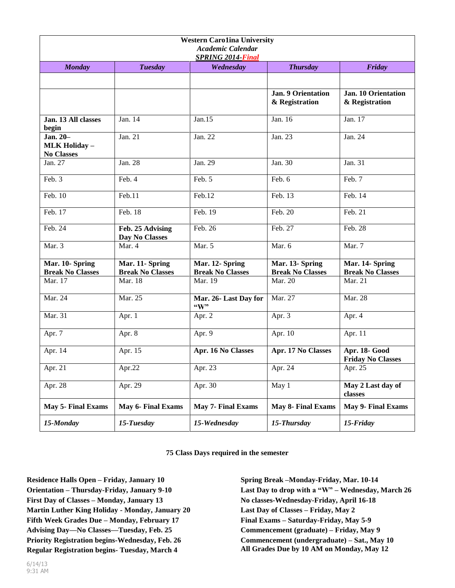| <b>Western Carolina University</b><br><b>Academic Calendar</b><br><b>SPRING 2014-Final</b> |                                            |                                            |                                             |                                              |
|--------------------------------------------------------------------------------------------|--------------------------------------------|--------------------------------------------|---------------------------------------------|----------------------------------------------|
| <b>Monday</b>                                                                              | <b>Tuesday</b>                             | Wednesday                                  | <b>Thursday</b>                             | Friday                                       |
|                                                                                            |                                            |                                            |                                             |                                              |
|                                                                                            |                                            |                                            | <b>Jan. 9 Orientation</b><br>& Registration | <b>Jan. 10 Orientation</b><br>& Registration |
| Jan. 13 All classes<br>begin                                                               | Jan. 14                                    | Jan.15                                     | Jan. 16                                     | Jan. 17                                      |
| Jan. 20-<br><b>MLK Holiday -</b><br><b>No Classes</b>                                      | Jan. 21                                    | Jan. 22                                    | Jan. 23                                     | Jan. 24                                      |
| Jan. 27                                                                                    | Jan. 28                                    | Jan. 29                                    | Jan. 30                                     | Jan. 31                                      |
| Feb. 3                                                                                     | Feb. 4                                     | Feb. 5                                     | Feb. 6                                      | Feb. 7                                       |
| Feb. 10                                                                                    | Feb.11                                     | Feb.12                                     | Feb. 13                                     | Feb. 14                                      |
| Feb. 17                                                                                    | Feb. 18                                    | Feb. 19                                    | Feb. 20                                     | Feb. 21                                      |
| Feb. 24                                                                                    | Feb. 25 Advising<br>Day No Classes         | Feb. 26                                    | Feb. 27                                     | Feb. 28                                      |
| Mar. 3                                                                                     | Mar. 4                                     | Mar. 5                                     | Mar. 6                                      | Mar. 7                                       |
| Mar. 10- Spring<br><b>Break No Classes</b>                                                 | Mar. 11- Spring<br><b>Break No Classes</b> | Mar. 12- Spring<br><b>Break No Classes</b> | Mar. 13- Spring<br><b>Break No Classes</b>  | Mar. 14- Spring<br><b>Break No Classes</b>   |
| Mar. 17                                                                                    | Mar. 18                                    | Mar. 19                                    | Mar. 20                                     | Mar. 21                                      |
| Mar. 24                                                                                    | Mar. 25                                    | Mar. 26- Last Day for<br>$\mathbf{W}$      | Mar. 27                                     | Mar. 28                                      |
| Mar. 31                                                                                    | Apr. 1                                     | Apr. 2                                     | Apr. 3                                      | Apr. 4                                       |
| Apr. 7                                                                                     | Apr. 8                                     | Apr. 9                                     | Apr. 10                                     | Apr. 11                                      |
| Apr. 14                                                                                    | Apr. 15                                    | Apr. 16 No Classes                         | Apr. 17 No Classes                          | Apr. 18- Good<br><b>Friday No Classes</b>    |
| Apr. 21                                                                                    | Apr.22                                     | Apr. 23                                    | Apr. 24                                     | Apr. $25$                                    |
| Apr. $28$                                                                                  | Apr. 29                                    | Apr. 30                                    | $\overline{May 1}$                          | May 2 Last day of<br>classes                 |
| <b>May 5- Final Exams</b>                                                                  | <b>May 6- Final Exams</b>                  | <b>May 7- Final Exams</b>                  | <b>May 8- Final Exams</b>                   | May 9- Final Exams                           |
| 15-Monday                                                                                  | 15-Tuesday                                 | 15-Wednesday                               | 15-Thursday                                 | 15-Friday                                    |

**Residence Halls Open – Friday, January 10 Orientation – Thursday-Friday, January 9-10 First Day of Classes – Monday, January 13 Martin Luther King Holiday - Monday, January 20 Fifth Week Grades Due – Monday, February 17 Advising Day—No Classes—Tuesday, Feb. 25 Priority Registration begins-Wednesday, Feb. 26 Regular Registration begins- Tuesday, March 4**

**Spring Break –Monday-Friday, Mar. 10-14 Last Day to drop with a "W" – Wednesday, March 26 No classes-Wednesday-Friday, April 16-18 Last Day of Classes – Friday, May 2 Final Exams – Saturday-Friday, May 5-9 Commencement (graduate) – Friday, May 9 Commencement (undergraduate) – Sat., May 10 All Grades Due by 10 AM on Monday, May 12**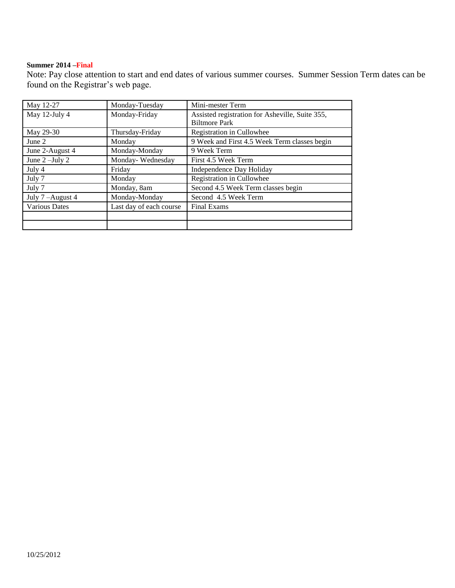## **Summer 2014 –Final**

Note: Pay close attention to start and end dates of various summer courses. Summer Session Term dates can be found on the Registrar's web page.

| May 12-27            | Monday-Tuesday          | Mini-mester Term                                |
|----------------------|-------------------------|-------------------------------------------------|
| May 12-July 4        | Monday-Friday           | Assisted registration for Asheville, Suite 355, |
|                      |                         | <b>Biltmore Park</b>                            |
| May 29-30            | Thursday-Friday         | Registration in Cullowhee                       |
| June $2$             | Monday                  | 9 Week and First 4.5 Week Term classes begin    |
| June 2-August 4      | Monday-Monday           | 9 Week Term                                     |
| June $2$ –July $2$   | Monday-Wednesday        | First 4.5 Week Term                             |
| July 4               | Friday                  | Independence Day Holiday                        |
| July 7               | Monday                  | Registration in Cullowhee                       |
| July 7               | Monday, 8am             | Second 4.5 Week Term classes begin              |
| July 7-August 4      | Monday-Monday           | Second 4.5 Week Term                            |
| <b>Various Dates</b> | Last day of each course | <b>Final Exams</b>                              |
|                      |                         |                                                 |
|                      |                         |                                                 |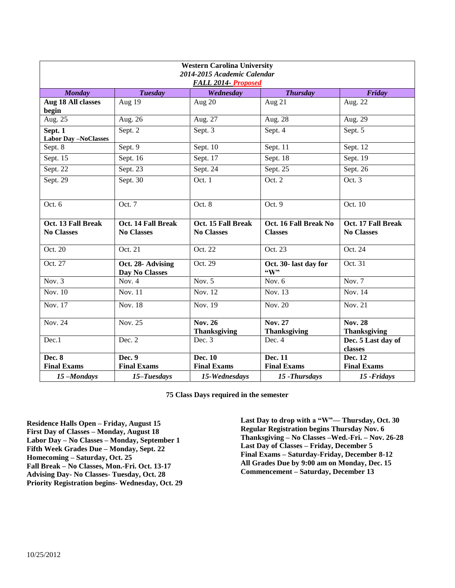| <b>Western Carolina University</b><br>2014-2015 Academic Calendar<br>FALL 2014- Proposed |                                         |                                         |                                          |                                         |
|------------------------------------------------------------------------------------------|-----------------------------------------|-----------------------------------------|------------------------------------------|-----------------------------------------|
| <b>Monday</b>                                                                            | <b>Tuesday</b>                          | Wednesday                               | <b>Thursday</b>                          | Friday                                  |
| Aug 18 All classes<br>begin                                                              | Aug 19                                  | Aug 20                                  | Aug 21                                   | Aug. 22                                 |
| Aug. 25                                                                                  | Aug. 26                                 | Aug. 27                                 | Aug. 28                                  | Aug. 29                                 |
| Sept. 1<br><b>Labor Day-NoClasses</b>                                                    | Sept. $\overline{2}$                    | Sept. 3                                 | Sept. 4                                  | Sept. 5                                 |
| Sept. 8                                                                                  | Sept. $9$                               | Sept. 10                                | Sept. 11                                 | Sept. 12                                |
| Sept. $1\overline{5}$                                                                    | Sept. 16                                | Sept. 17                                | Sept. 18                                 | Sept. $19$                              |
| Sept. 22                                                                                 | Sept. 23                                | Sept. 24                                | Sept. 25                                 | Sept. 26                                |
| Sept. 29                                                                                 | Sept. 30                                | Oct. 1                                  | Oct. 2                                   | Oct. 3                                  |
| Oct. 6                                                                                   | Oct. 7                                  | Oct. 8                                  | Oct. $9$                                 | Oct. 10                                 |
| Oct. 13 Fall Break<br><b>No Classes</b>                                                  | Oct. 14 Fall Break<br><b>No Classes</b> | Oct. 15 Fall Break<br><b>No Classes</b> | Oct. 16 Fall Break No<br><b>Classes</b>  | Oct. 17 Fall Break<br><b>No Classes</b> |
| Oct. 20                                                                                  | Oct. 21                                 | Oct. 22                                 | Oct. 23                                  | Oct. 24                                 |
| Oct. 27                                                                                  | Oct. 28- Advising<br>Day No Classes     | Oct. 29                                 | Oct. 30- last day for<br>$\mathbf{``W"}$ | Oct. 31                                 |
| Nov. $3$                                                                                 | Nov. $4$                                | Nov. $5$                                | Nov. $6$                                 | Nov. $7$                                |
| Nov. 10                                                                                  | Nov. 11                                 | <b>Nov. 12</b>                          | Nov. 13                                  | Nov. 14                                 |
| Nov. 17                                                                                  | Nov. 18                                 | Nov. 19                                 | Nov. 20                                  | Nov. 21                                 |
| Nov. 24                                                                                  | Nov. 25                                 | <b>Nov. 26</b><br><b>Thanksgiving</b>   | Nov. 27<br><b>Thanksgiving</b>           | <b>Nov. 28</b><br><b>Thanksgiving</b>   |
| Dec.1                                                                                    | Dec. 2                                  | Dec. 3                                  | Dec. 4                                   | Dec. 5 Last day of<br>classes           |
| Dec. 8<br><b>Final Exams</b>                                                             | Dec. 9<br><b>Final Exams</b>            | Dec. 10<br><b>Final Exams</b>           | Dec. 11<br><b>Final Exams</b>            | Dec. 12<br><b>Final Exams</b>           |
| 15-Mondays                                                                               | 15-Tuesdays                             | 15-Wednesdays                           | 15 - Thursdays                           | 15 - Fridays                            |

**Residence Halls Open – Friday, August 15 First Day of Classes – Monday, August 18 Labor Day – No Classes – Monday, September 1 Fifth Week Grades Due – Monday, Sept. 22 Homecoming – Saturday, Oct. 25 Fall Break – No Classes, Mon.-Fri. Oct. 13-17 Advising Day- No Classes- Tuesday, Oct. 28 Priority Registration begins- Wednesday, Oct. 29**  **Last Day to drop with a "W"— Thursday, Oct. 30 Regular Registration begins Thursday Nov. 6 Thanksgiving – No Classes –Wed.-Fri. – Nov. 26-28 Last Day of Classes – Friday, December 5 Final Exams – Saturday-Friday, December 8-12 All Grades Due by 9:00 am on Monday, Dec. 15 Commencement – Saturday, December 13**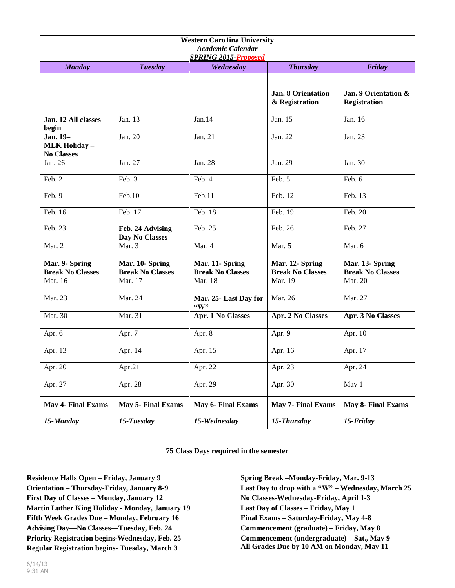| <b>Western Carolina University</b><br>Academic Calendar<br><b>SPRING 2015-Proposed</b> |                                            |                                            |                                             |                                             |
|----------------------------------------------------------------------------------------|--------------------------------------------|--------------------------------------------|---------------------------------------------|---------------------------------------------|
| <b>Monday</b>                                                                          | <b>Tuesday</b>                             | Wednesday                                  | <b>Thursday</b>                             | Friday                                      |
|                                                                                        |                                            |                                            |                                             |                                             |
|                                                                                        |                                            |                                            | <b>Jan. 8 Orientation</b><br>& Registration | Jan. 9 Orientation &<br><b>Registration</b> |
| Jan. 12 All classes<br>begin                                                           | Jan. 13                                    | Jan.14                                     | Jan. 15                                     | Jan. 16                                     |
| Jan. 19-<br><b>MLK Holiday -</b><br><b>No Classes</b>                                  | Jan. 20                                    | Jan. 21                                    | Jan. 22                                     | Jan. 23                                     |
| Jan. $26$                                                                              | Jan. 27                                    | Jan. 28                                    | Jan. 29                                     | Jan. $30$                                   |
| Feb. 2                                                                                 | Feb. 3                                     | Feb. 4                                     | Feb. 5                                      | Feb. 6                                      |
| Feb. 9                                                                                 | Feb.10                                     | Feb.11                                     | Feb. 12                                     | Feb. 13                                     |
| Feb. 16                                                                                | Feb. 17                                    | Feb. 18                                    | $\overline{\text{Feb}}$ . 19                | Feb. 20                                     |
| Feb. 23                                                                                | Feb. 24 Advising<br>Day No Classes         | Feb. 25                                    | Feb. 26                                     | Feb. 27                                     |
| Mar. 2                                                                                 | Mar. 3                                     | Mar. 4                                     | Mar. 5                                      | Mar. 6                                      |
| Mar. 9- Spring<br><b>Break No Classes</b>                                              | Mar. 10- Spring<br><b>Break No Classes</b> | Mar. 11- Spring<br><b>Break No Classes</b> | Mar. 12- Spring<br><b>Break No Classes</b>  | Mar. 13- Spring<br><b>Break No Classes</b>  |
| Mar. 16                                                                                | Mar. 17                                    | Mar. 18                                    | Mar. 19                                     | Mar. 20                                     |
| Mar. 23                                                                                | Mar. 24                                    | Mar. 25- Last Day for<br>$\mathbf{``W"}$   | Mar. 26                                     | Mar. 27                                     |
| Mar. 30                                                                                | Mar. 31                                    | Apr. 1 No Classes                          | Apr. 2 No Classes                           | Apr. 3 No Classes                           |
| Apr. 6                                                                                 | Apr. 7                                     | Apr. 8                                     | Apr. 9                                      | Apr. 10                                     |
| Apr. 13                                                                                | Apr. 14                                    | Apr. 15                                    | Apr. 16                                     | Apr. 17                                     |
| Apr. 20                                                                                | Apr.21                                     | Apr. 22                                    | Apr. 23                                     | Apr. 24                                     |
| Apr. 27                                                                                | Apr. $28$                                  | Apr. $29$                                  | Apr. 30                                     | May 1                                       |
| <b>May 4- Final Exams</b>                                                              | <b>May 5- Final Exams</b>                  | <b>May 6- Final Exams</b>                  | <b>May 7- Final Exams</b>                   | <b>May 8- Final Exams</b>                   |
| 15-Monday                                                                              | 15-Tuesday                                 | 15-Wednesday                               | 15-Thursday                                 | 15-Friday                                   |

**Residence Halls Open – Friday, January 9 Orientation – Thursday-Friday, January 8-9 First Day of Classes – Monday, January 12 Martin Luther King Holiday - Monday, January 19 Fifth Week Grades Due – Monday, February 16 Advising Day—No Classes—Tuesday, Feb. 24 Priority Registration begins-Wednesday, Feb. 25 Regular Registration begins- Tuesday, March 3** 

**Spring Break –Monday-Friday, Mar. 9-13 Last Day to drop with a "W" – Wednesday, March 25 No Classes-Wednesday-Friday, April 1-3 Last Day of Classes – Friday, May 1 Final Exams – Saturday-Friday, May 4-8 Commencement (graduate) – Friday, May 8 Commencement (undergraduate) – Sat., May 9 All Grades Due by 10 AM on Monday, May 11**